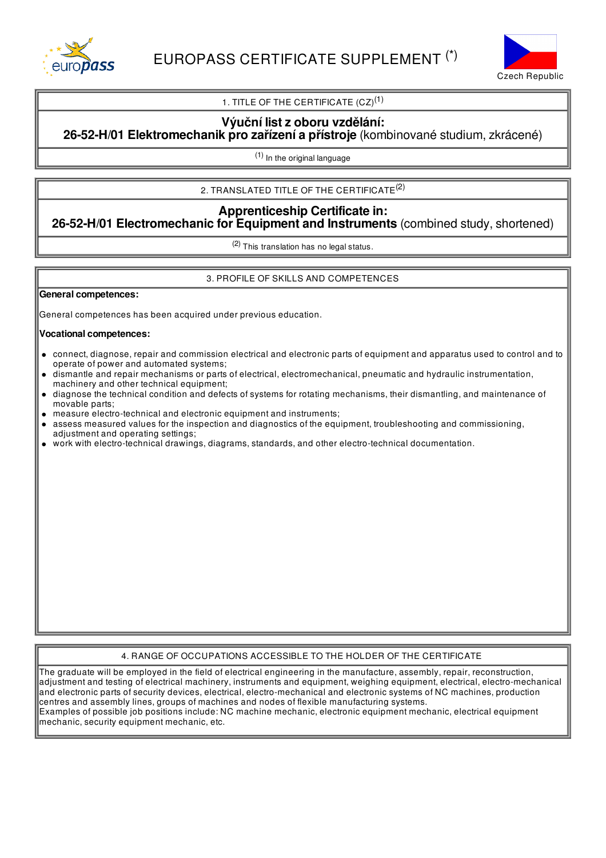



## 1. TITLE OF THE CERTIFICATE  $(CZ)^{(1)}$

### **Výuční listz oboru vzdělání: 26-52-H/01 Elektromechanik pro zařízení a přístroje** (kombinované studium, zkrácené)

(1) In the original language

# 2. TRANSLATED TITLE OF THE CERTIFICATE $^{(2)}$

## **Apprenticeship Certificate in: 26-52-H/01 Electromechanic for Equipment and Instruments** (combined study, shortened)

(2) This translation has no legal status.

### 3. PROFILE OF SKILLS AND COMPETENCES

### **General competences:**

General competences has been acquired under previous education.

### **Vocational competences:**

- connect, diagnose, repair and commission electrical and electronic parts of equipment and apparatus used to control and to  $\bullet$ operate of power and automated systems;
- dismantle and repair mechanisms or parts of electrical, electromechanical, pneumatic and hydraulic instrumentation, machinery and other technical equipment;
- diagnose the technical condition and defects of systems for rotating mechanisms, their dismantling, and maintenance of movable parts;
- measure electro-technical and electronic equipment and instruments;
- assess measured values for the inspection and diagnostics of the equipment, troubleshooting and commissioning, adjustment and operating settings;
- work with electro-technical drawings, diagrams, standards, and other electro-technical documentation.

### 4. RANGE OF OCCUPATIONS ACCESSIBLE TO THE HOLDER OF THE CERTIFICATE

The graduate will be employed in the field of electrical engineering in the manufacture, assembly, repair, reconstruction, adjustment and testing of electrical machinery, instruments and equipment, weighing equipment, electrical, electro-mechanical and electronic parts of security devices, electrical, electro-mechanical and electronic systems of NC machines, production centres and assembly lines, groups of machines and nodes of flexible manufacturing systems. Examples of possible job positions include: NC machine mechanic, electronic equipment mechanic, electrical equipment mechanic, security equipment mechanic, etc.